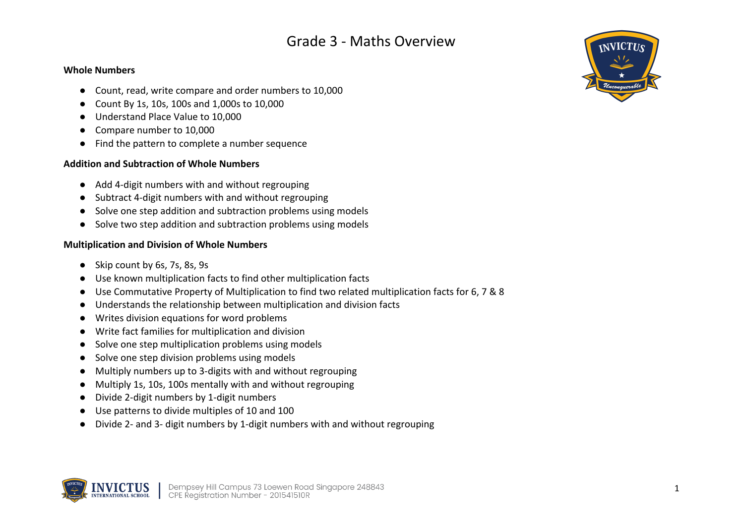#### **Whole Numbers**

- Count, read, write compare and order numbers to 10,000
- Count By 1s, 10s, 100s and 1,000s to 10,000
- Understand Place Value to 10,000
- Compare number to 10,000
- Find the pattern to complete a number sequence

## **Addition and Subtraction of Whole Numbers**

- Add 4-digit numbers with and without regrouping
- Subtract 4-digit numbers with and without regrouping
- Solve one step addition and subtraction problems using models
- Solve two step addition and subtraction problems using models

## **Multiplication and Division of Whole Numbers**

- Skip count by 6s, 7s, 8s, 9s
- Use known multiplication facts to find other multiplication facts
- Use Commutative Property of Multiplication to find two related multiplication facts for 6, 7 & 8
- Understands the relationship between multiplication and division facts
- Writes division equations for word problems
- Write fact families for multiplication and division
- Solve one step multiplication problems using models
- Solve one step division problems using models
- Multiply numbers up to 3-digits with and without regrouping
- Multiply 1s, 10s, 100s mentally with and without regrouping
- Divide 2-digit numbers by 1-digit numbers
- Use patterns to divide multiples of 10 and 100
- Divide 2- and 3- digit numbers by 1-digit numbers with and without regrouping



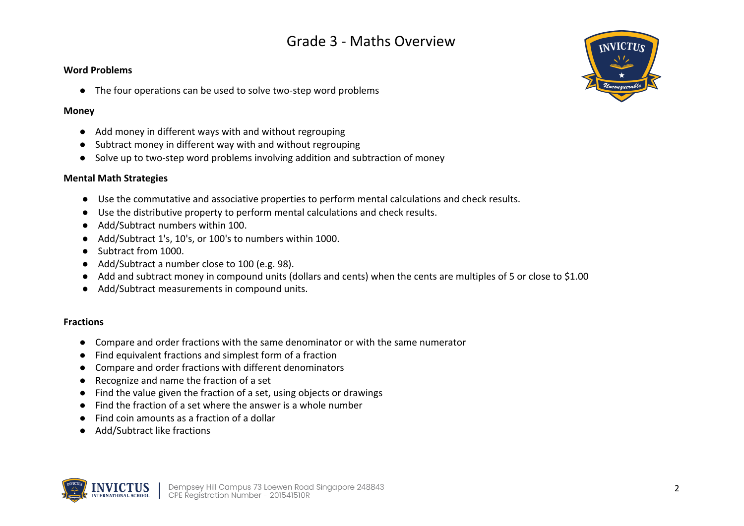#### **Word Problems**

● The four operations can be used to solve two-step word problems

#### **Money**

- Add money in different ways with and without regrouping
- Subtract money in different way with and without regrouping
- Solve up to two-step word problems involving addition and subtraction of money

## **Mental Math Strategies**

- Use the commutative and associative properties to perform mental calculations and check results.
- Use the distributive property to perform mental calculations and check results.
- Add/Subtract numbers within 100.
- Add/Subtract 1's, 10's, or 100's to numbers within 1000.
- Subtract from 1000.
- Add/Subtract a number close to 100 (e.g. 98).
- Add and subtract money in compound units (dollars and cents) when the cents are multiples of 5 or close to \$1.00
- Add/Subtract measurements in compound units.

### **Fractions**

- Compare and order fractions with the same denominator or with the same numerator
- Find equivalent fractions and simplest form of a fraction
- Compare and order fractions with different denominators
- Recognize and name the fraction of a set
- Find the value given the fraction of a set, using objects or drawings
- Find the fraction of a set where the answer is a whole number
- Find coin amounts as a fraction of a dollar
- Add/Subtract like fractions



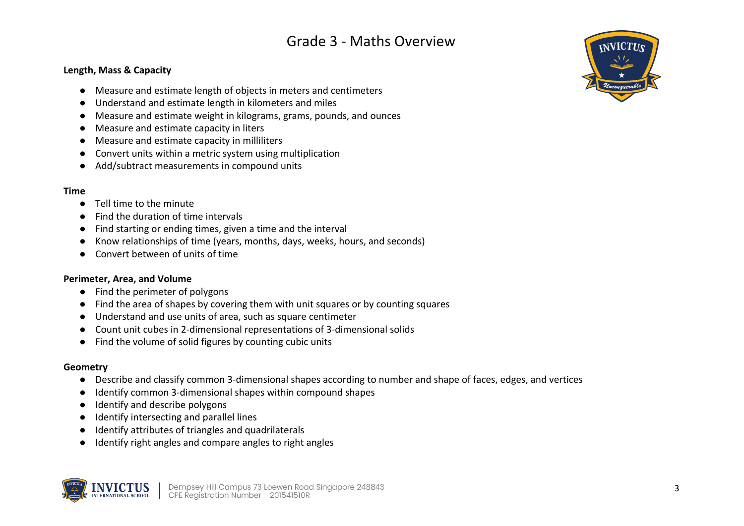#### **Length, Mass & Capacity**

- Measure and estimate length of objects in meters and centimeters
- Understand and estimate length in kilometers and miles
- Measure and estimate weight in kilograms, grams, pounds, and ounces
- Measure and estimate capacity in liters
- Measure and estimate capacity in milliliters
- Convert units within a metric system using multiplication
- Add/subtract measurements in compound units

#### **Time**

- Tell time to the minute
- Find the duration of time intervals
- Find starting or ending times, given a time and the interval
- Know relationships of time (years, months, days, weeks, hours, and seconds)
- Convert between of units of time

#### **Perimeter, Area, and Volume**

- Find the perimeter of polygons
- Find the area of shapes by covering them with unit squares or by counting squares
- Understand and use units of area, such as square centimeter
- Count unit cubes in 2-dimensional representations of 3-dimensional solids
- Find the volume of solid figures by counting cubic units

#### **Geometry**

- Describe and classify common 3-dimensional shapes according to number and shape of faces, edges, and vertices
- Identify common 3-dimensional shapes within compound shapes
- Identify and describe polygons
- Identify intersecting and parallel lines
- Identify attributes of triangles and quadrilaterals
- Identify right angles and compare angles to right angles